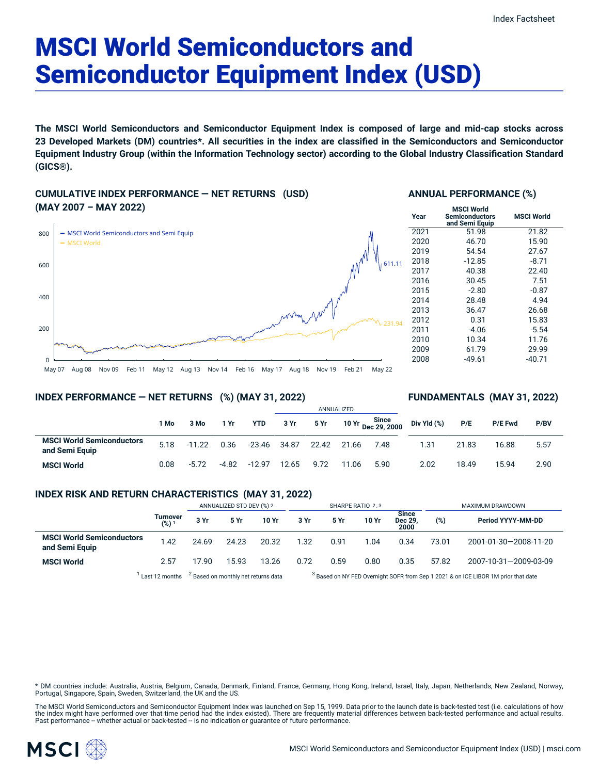# MSCI World Semiconductors and Semiconductor Equipment Index (USD)

**The MSCI World Semiconductors and Semiconductor Equipment Index is composed of large and mid-cap stocks across** 23 Developed Markets (DM) countries\*. All securities in the index are classified in the Semiconductors and Semiconductor Equipment Industry Group (within the Information Technology sector) according to the Global Industry Classification Standard **(GICS®).**

**CUMULATIVE INDEX PERFORMANCE — NET RETURNS (USD) (MAY 2007 – MAY 2022)**



#### **ANNUAL PERFORMANCE (%)**

| Year | <b>MSCI World</b><br>Semiconductors<br>and Semi Equip | <b>MSCI World</b> |
|------|-------------------------------------------------------|-------------------|
| 2021 | 51.98                                                 | 21.82             |
| 2020 | 46.70                                                 | 15.90             |
| 2019 | 54.54                                                 | 27.67             |
| 2018 | $-12.85$                                              | $-8.71$           |
| 2017 | 40.38                                                 | 22.40             |
| 2016 | 30.45                                                 | 7.51              |
| 2015 | $-2.80$                                               | $-0.87$           |
| 2014 | 28.48                                                 | 4.94              |
| 2013 | 36.47                                                 | 26.68             |
| 2012 | 0.31                                                  | 15.83             |
| 2011 | $-4.06$                                               | $-5.54$           |
| 2010 | 10.34                                                 | 11.76             |
| 2009 | 61.79                                                 | 29.99             |
| 2008 | $-49.61$                                              | -40.71            |

### May 07 Aug 08 Nov 09 Feb 11 May 12 Aug 13 Nov 14 Feb 16 May 17 Aug 18 Nov 19 Feb 21 May 22

### **INDEX PERFORMANCE — NET RETURNS (%) (MAY 31, 2022)**

#### ANNUALIZED **1 Mo 3 Mo 1 Yr YTD 3 Yr 5 Yr 10 Yr Since Dec 29, 2000 MSCI World Semiconductors and Semi Equip** 5.18 -11.22 0.36 -23.46 34.87 22.42 21.66 7.48 **MSCI World** 0.08 -5.72 -4.82 -12.97 12.65 9.72 11.06 5.90 **FUNDAMENTALS (MAY 31, 2022) Div Yld (%) P/E P/E Fwd P/BV** 1.31 21.83 16.88 5.57 2.02 18.49 15.94 2.90

#### **INDEX RISK AND RETURN CHARACTERISTICS (MAY 31, 2022)**

|                                                                                                                                                                                                                                |                                | ANNUALIZED STD DEV (%) 2 |       | SHARPE RATIO 2,3 |      |      |       | MAXIMUM DRAWDOWN                      |       |                       |
|--------------------------------------------------------------------------------------------------------------------------------------------------------------------------------------------------------------------------------|--------------------------------|--------------------------|-------|------------------|------|------|-------|---------------------------------------|-------|-----------------------|
|                                                                                                                                                                                                                                | Turnover<br>$(%)$ <sup>1</sup> | 3 Yr                     | 5 Yr  | 10 Yr            | 3 Yr | 5 Yr | 10 Yr | <b>Since</b><br><b>Dec 29</b><br>2000 | (%)   | Period YYYY-MM-DD     |
| <b>MSCI World Semiconductors</b><br>and Semi Equip                                                                                                                                                                             | 1.42                           | 24.69                    | 24.23 | 20.32            | 1.32 | 0.91 | 1.04  | 0.34                                  | 73.01 | 2001-01-30-2008-11-20 |
| <b>MSCI World</b>                                                                                                                                                                                                              | 2.57                           | 17.90                    | 15.93 | 13.26            | 0.72 | 0.59 | 0.80  | 0.35                                  | 57.82 | 2007-10-31-2009-03-09 |
| . Respectively. The company of the company of the company of the company of the company of the company of the company of the company of the company of the company of the company of the company of the company of the company |                                |                          |       |                  |      |      |       |                                       |       |                       |

 $^1$  Last 12 months  $^2$  Based on monthly net returns data  $^3$ 

<sup>3</sup> Based on NY FED Overnight SOFR from Sep 1 2021 & on ICE LIBOR 1M prior that date

\* DM countries include: Australia, Austria, Belgium, Canada, Denmark, Finland, France, Germany, Hong Kong, Ireland, Israel, Italy, Japan, Netherlands, New Zealand, Norway,<br>Portugal, Singapore, Spain, Sweden, Switzerland, t

The MSCI World Semiconductors and Semiconductor Equipment Index was launched on Sep 15, 1999. Data prior to the launch date is back-tested test (i.e. calculations of how<br>the index might have performed over that time period

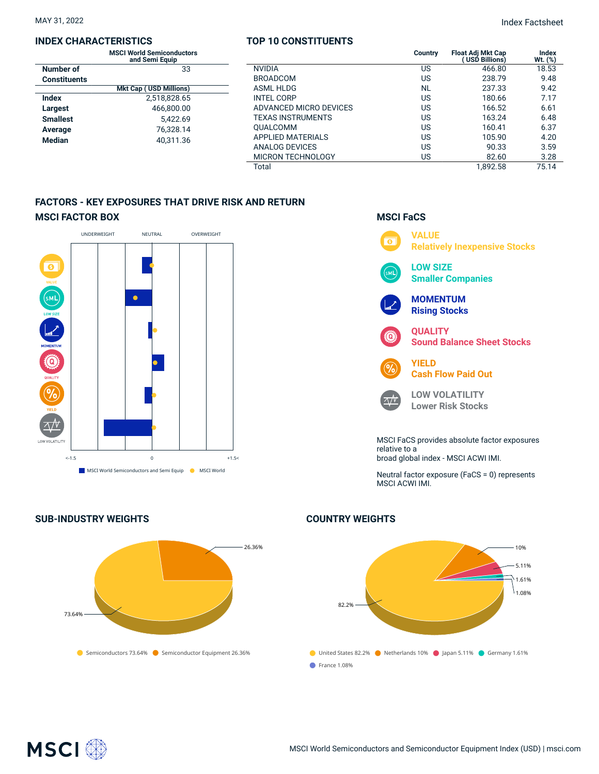#### **INDEX CHARACTERISTICS**

|                 | <b>MSCI World Semiconductors</b><br>and Semi Equip |  |  |  |
|-----------------|----------------------------------------------------|--|--|--|
| Number of       | 33                                                 |  |  |  |
| Constituents    |                                                    |  |  |  |
|                 | <b>Mkt Cap (USD Millions)</b>                      |  |  |  |
| Index           | 2.518.828.65                                       |  |  |  |
| Largest         | 466.800.00                                         |  |  |  |
| <b>Smallest</b> | 5.422.69                                           |  |  |  |
| Average         | 76.328.14                                          |  |  |  |
| Median          | 40.311.36                                          |  |  |  |

### **TOP 10 CONSTITUENTS**

| ıctors |                          | Country   | <b>Float Adj Mkt Cap</b><br>USD Billions) | Index<br>Wt. (%) |
|--------|--------------------------|-----------|-------------------------------------------|------------------|
| 33     | <b>NVIDIA</b>            | US        | 466.80                                    | 18.53            |
|        | <b>BROADCOM</b>          | US        | 238.79                                    | 9.48             |
| ns)    | <b>ASML HLDG</b>         | <b>NL</b> | 237.33                                    | 9.42             |
| .65    | <b>INTEL CORP</b>        | US        | 180.66                                    | 7.17             |
| .00    | ADVANCED MICRO DEVICES   | US        | 166.52                                    | 6.61             |
| .69    | <b>TEXAS INSTRUMENTS</b> | US        | 163.24                                    | 6.48             |
| .14    | <b>OUALCOMM</b>          | US        | 160.41                                    | 6.37             |
| .36    | <b>APPLIED MATERIALS</b> | US        | 105.90                                    | 4.20             |
|        | ANALOG DEVICES           | US        | 90.33                                     | 3.59             |
|        | <b>MICRON TECHNOLOGY</b> | US        | 82.60                                     | 3.28             |
|        | Total                    |           | 1.892.58                                  | 75.14            |

**MSCI FaCS**

 $\wedge /V$ 

## **FACTORS - KEY EXPOSURES THAT DRIVE RISK AND RETURN MSCI FACTOR BOX**





# **COUNTRY WEIGHTS**



**VALUE**  $\overline{\bullet}$ **Relatively Inexpensive Stocks LOW SIZE**  $\overline{\mathsf{SML}}$ **Smaller Companies MOMENTUM Rising Stocks QUALITY**  $\left( 0\right)$ **Sound Balance Sheet Stocks**



**LOW VOLATILITY Lower Risk Stocks**

MSCI FaCS provides absolute factor exposures relative to a broad global index - MSCI ACWI IMI.

Neutral factor exposure (FaCS = 0) represents MSCI ACWI IMI.

**SUB-INDUSTRY WEIGHTS**